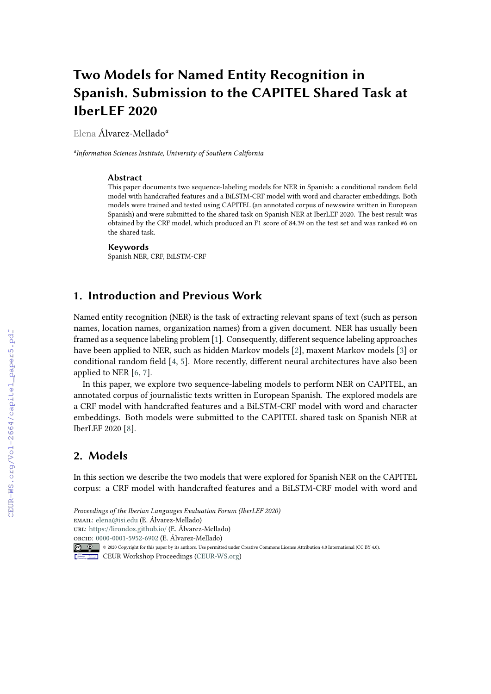# **Two Models for Named Entity Recognition in Spanish. Submission to the CAPITEL Shared Task at IberLEF 2020**

Elena Álvarez-Mellado*<sup>a</sup>*

*a Information Sciences Institute, University of Southern California*

#### **Abstract**

This paper documents two sequence-labeling models for NER in Spanish: a conditional random field model with handcrafted features and a BiLSTM-CRF model with word and character embeddings. Both models were trained and tested using CAPITEL (an annotated corpus of newswire written in European Spanish) and were submitted to the shared task on Spanish NER at IberLEF 2020. The best result was obtained by the CRF model, which produced an F1 score of 84.39 on the test set and was ranked #6 on the shared task.

#### **Keywords**

Spanish NER, CRF, BiLSTM-CRF

# **1. Introduction and Previous Work**

Named entity recognition (NER) is the task of extracting relevant spans of text (such as person names, location names, organization names) from a given document. NER has usually been framed as a sequence labeling problem [\[1\]](#page--1-0). Consequently, different sequence labeling approaches have been applied to NER, such as hidden Markov models [\[2\]](#page--1-1), maxent Markov models [\[3\]](#page--1-2) or conditional random field [\[4,](#page--1-3) [5\]](#page--1-4). More recently, different neural architectures have also been applied to NER [\[6,](#page--1-5) [7\]](#page--1-6).

In this paper, we explore two sequence-labeling models to perform NER on CAPITEL, an annotated corpus of journalistic texts written in European Spanish. The explored models are a CRF model with handcrafted features and a BiLSTM-CRF model with word and character embeddings. Both models were submitted to the CAPITEL shared task on Spanish NER at IberLEF 2020 [\[8\]](#page--1-7).

# **2. Models**

In this section we describe the two models that were explored for Spanish NER on the CAPITEL corpus: a CRF model with handcrafted features and a BiLSTM-CRF model with word and

orcid: [0000-0001-5952-6902](https://orcid.org/0000-0001-5952-6902) (E. Álvarez-Mellado)

```
© 2020 Copyright for this paper by its authors. Use permitted under Creative Commons License Attribution 4.0 International (CC BY 4.0).
```
*Proceedings of the Iberian Languages Evaluation Forum (IberLEF 2020)*

email: [elena@isi.edu](mailto:elena@isi.edu) (E. Álvarez-Mellado)

url: <https://lirondos.github.io/> (E. Álvarez-Mellado)

CEUR Workshop [Proceedings](http://ceur-ws.org) [\(CEUR-WS.org\)](http://ceur-ws.org)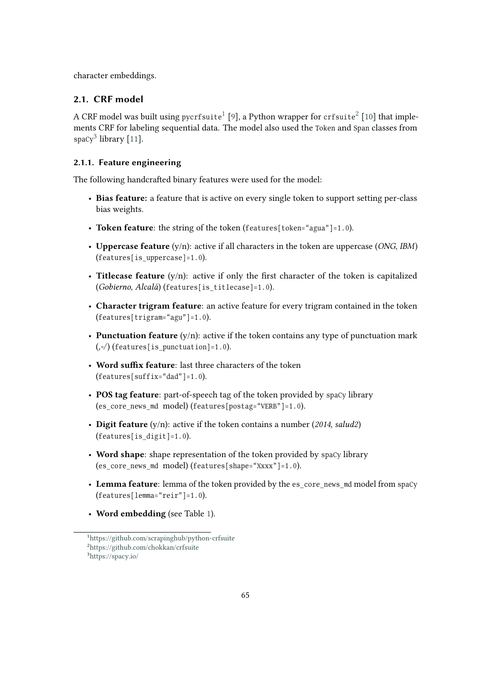character embeddings.

## **2.1. CRF model**

ACRF model was built using pycrfsuite $^1$  [\[9\]](#page-5-0), a Python wrapper for crfsuite $^2$  [\[10\]](#page-5-1) that implements CRF for labeling sequential data. The model also used the Token and Span classes from  $spacy<sup>3</sup>$ library [\[11\]](#page-5-2).

### **2.1.1. Feature engineering**

The following handcrafted binary features were used for the model:

- **Bias feature:** a feature that is active on every single token to support setting per-class bias weights.
- Token feature: the string of the token (features [token="agua"]=1.0).
- **Uppercase feature** (y/n): active if all characters in the token are uppercase (*ONG*, *IBM*)  $(f$  e a tures [is uppercase] = 1.0).
- **Titlecase feature** (y/n): active if only the first character of the token is capitalized (*Gobierno, Alcalá*) (features [is titlecase]=1.0).
- **Character trigram feature**: an active feature for every trigram contained in the token  $(f$  e a tures  $[$  trigram = " $\alpha$  agu"  $]$  = 1.0).
- **Punctuation feature** (y/n): active if the token contains any type of punctuation mark  $($ ,- $/$  $)$  (features[is\_punctuation]=1.0).
- **Word suffix feature**: last three characters of the token  $(f$  e a tures [suff i x = "d ad" ] = 1.0).
- **POS tag feature**: part-of-speech tag of the token provided by spacy library  $($ es\_core\_news\_md model)  $($ features $[$ postag="VERB" $]$ =1.0 $)$ .
- **Digit feature** (y/n): active if the token contains a number (*2014*, *salud2*)  $(f$  e a tures  $[s \_ \text{digit}] = 1.0$ ).
- Word shape: shape representation of the token provided by spaCy library (es core news md model) (features [shape=" $Xxxx$ "]=1.0).
- Lemma feature: lemma of the token provided by the es\_core\_news\_md model from spaCy  $(f$  e a tures [lemma=" $re$ ir"]=1.0).
- **Word embedding** (see Table [1\)](#page-2-0).

<span id="page-1-2"></span><span id="page-1-1"></span><span id="page-1-0"></span><sup>1</sup><https://github.com/scrapinghub/python-crfsuite> <sup>2</sup>[https://github.com/chokkan/crfsuite]( https://github.com/chokkan/crfsuite) <sup>3</sup><https://spacy.io/>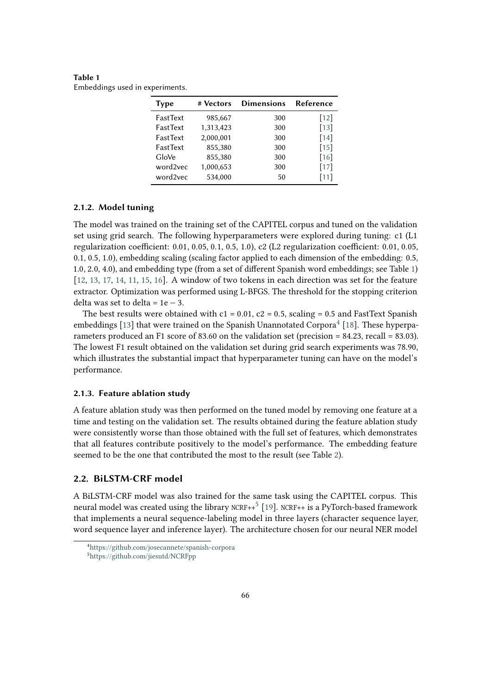<span id="page-2-0"></span>**Table 1** Embeddings used in experiments.

| <b>Type</b> | # Vectors | <b>Dimensions</b> | Reference |
|-------------|-----------|-------------------|-----------|
| FastText    | 985,667   | 300               | $[12]$    |
| FastText    | 1,313,423 | 300               | $[13]$    |
| FastText    | 2,000,001 | 300               | $[14]$    |
| FastText    | 855,380   | 300               | $[15]$    |
| GloVe       | 855,380   | 300               | [16]      |
| word2vec    | 1,000,653 | 300               | $[17]$    |
| word2vec    | 534,000   | 50                | $[11]$    |

#### **2.1.2. Model tuning**

The model was trained on the training set of the CAPITEL corpus and tuned on the validation set using grid search. The following hyperparameters were explored during tuning: c1 (L1 regularization coefficient: 0.01, 0.05, 0.1, 0.5, 1.0), c2 (L2 regularization coefficient: 0.01, 0.05, 0.1, 0.5, 1.0), embedding scaling (scaling factor applied to each dimension of the embedding: 0.5, 1.0, 2.0, 4.0), and embedding type (from a set of different Spanish word embeddings; see Table [1\)](#page-2-0) [\[12,](#page-5-3) [13,](#page-5-4) [17,](#page-5-8) [14,](#page-5-5) [11,](#page-5-2) [15,](#page-5-6) [16\]](#page-5-7). A window of two tokens in each direction was set for the feature extractor. Optimization was performed using L-BFGS. The threshold for the stopping criterion delta was set to delta =  $1e - 3$ .

The best results were obtained with  $c1 = 0.01$ ,  $c2 = 0.5$ , scaling = 0.5 and FastText Spanish embeddings [\[13\]](#page-5-4) that were trained on the Spanish Unannotated Corpora<sup>[4](#page-2-1)</sup> [\[18\]](#page-5-9). These hyperparameters produced an F1 score of 83.60 on the validation set (precision  $= 84.23$ , recall  $= 83.03$ ). The lowest F1 result obtained on the validation set during grid search experiments was 78.90, which illustrates the substantial impact that hyperparameter tuning can have on the model's performance.

#### **2.1.3. Feature ablation study**

A feature ablation study was then performed on the tuned model by removing one feature at a time and testing on the validation set. The results obtained during the feature ablation study were consistently worse than those obtained with the full set of features, which demonstrates that all features contribute positively to the model's performance. The embedding feature seemed to be the one that contributed the most to the result (see Table [2\)](#page-3-0).

#### **2.2. BiLSTM-CRF model**

A BiLSTM-CRF model was also trained for the same task using the CAPITEL corpus. This neuralmodel was created using the library  $\textsc{ncRF++}^5$  [\[19\]](#page-6-0). NCRF++ is a PyTorch-based framework that implements a neural sequence-labeling model in three layers (character sequence layer, word sequence layer and inference layer). The architecture chosen for our neural NER model

<span id="page-2-1"></span><sup>4</sup><https://github.com/josecannete/spanish-corpora>

<span id="page-2-2"></span><sup>5</sup><https://github.com/jiesutd/NCRFpp>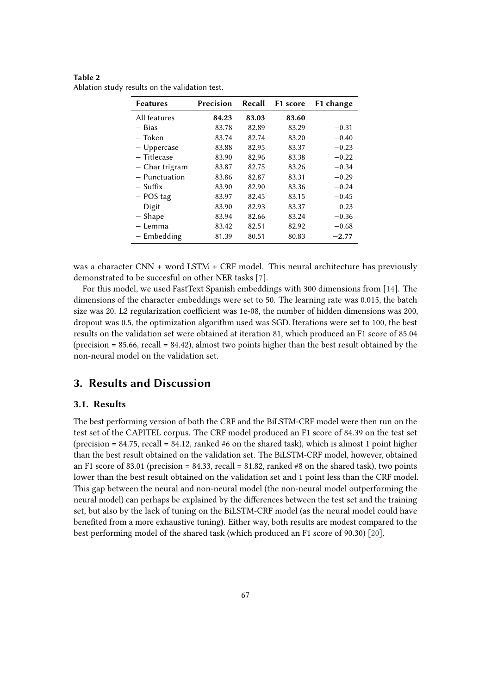<span id="page-3-0"></span>**Table 2** Ablation study results on the validation test.

| <b>Features</b> | Precision | Recall | F1 score | F1 change |
|-----------------|-----------|--------|----------|-----------|
| All features    | 84.23     | 83.03  | 83.60    |           |
| $-$ Bias        | 83.78     | 82.89  | 83.29    | $-0.31$   |
| – Token         | 83.74     | 82.74  | 83.20    | $-0.40$   |
| $-$ Uppercase   | 83.88     | 82.95  | 83.37    | $-0.23$   |
| – Titlecase     | 83.90     | 82.96  | 83.38    | $-0.22$   |
| – Char trigram  | 83.87     | 82.75  | 83.26    | $-0.34$   |
| $-$ Punctuation | 83.86     | 82.87  | 83.31    | $-0.29$   |
| – Suffix        | 83.90     | 82.90  | 83.36    | $-0.24$   |
| $-$ POS tag     | 83.97     | 82.45  | 83.15    | $-0.45$   |
| - Digit         | 83.90     | 82.93  | 83.37    | $-0.23$   |
| - Shape         | 83.94     | 82.66  | 83.24    | $-0.36$   |
| – Lemma         | 83.42     | 82.51  | 82.92    | $-0.68$   |
| - Embedding     | 81.39     | 80.51  | 80.83    | $-2.77$   |

was a character CNN + word LSTM + CRF model. This neural architecture has previously demonstrated to be succesful on other NER tasks [\[7\]](#page-5-10).

For this model, we used FastText Spanish embeddings with 300 dimensions from [\[14\]](#page-5-5). The dimensions of the character embeddings were set to 50. The learning rate was 0.015, the batch size was 20. L2 regularization coefficient was 1e-08, the number of hidden dimensions was 200, dropout was 0.5, the optimization algorithm used was SGD. Iterations were set to 100, the best results on the validation set were obtained at iteration 81, which produced an F1 score of 85.04 (precision  $= 85.66$ , recall  $= 84.42$ ), almost two points higher than the best result obtained by the non-neural model on the validation set.

## **3. Results and Discussion**

## **3.1. Results**

The best performing version of both the CRF and the BiLSTM-CRF model were then run on the test set of the CAPITEL corpus. The CRF model produced an F1 score of 84.39 on the test set (precision  $= 84.75$ , recall  $= 84.12$ , ranked  $#6$  on the shared task), which is almost 1 point higher than the best result obtained on the validation set. The BiLSTM-CRF model, however, obtained an F1 score of 83.01 (precision = 84.33, recall = 81.82, ranked #8 on the shared task), two points lower than the best result obtained on the validation set and 1 point less than the CRF model. This gap between the neural and non-neural model (the non-neural model outperforming the neural model) can perhaps be explained by the differences between the test set and the training set, but also by the lack of tuning on the BiLSTM-CRF model (as the neural model could have benefited from a more exhaustive tuning). Either way, both results are modest compared to the best performing model of the shared task (which produced an F1 score of 90.30) [\[20\]](#page-6-1).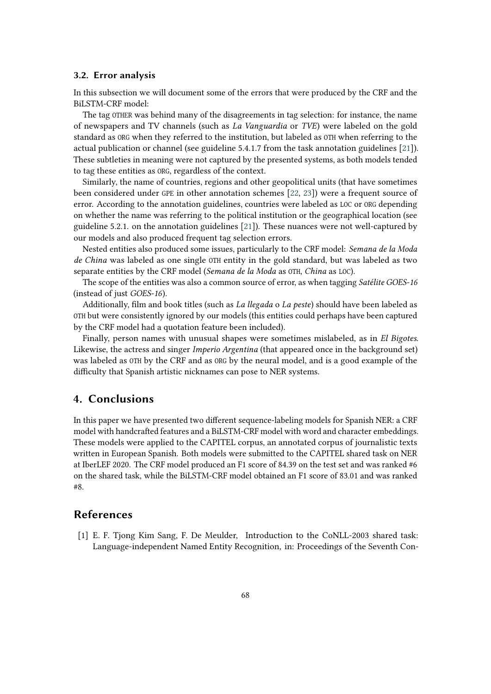#### **3.2. Error analysis**

In this subsection we will document some of the errors that were produced by the CRF and the BiLSTM-CRF model:

The tag OTHER was behind many of the disagreements in tag selection: for instance, the name of newspapers and TV channels (such as *La Vanguardia* or *TVE*) were labeled on the gold standard as ORG when they referred to the institution, but labeled as OTH when referring to the actual publication or channel (see guideline 5.4.1.7 from the task annotation guidelines [\[21\]](#page-6-2)). These subtleties in meaning were not captured by the presented systems, as both models tended to tag these entities as ORG, regardless of the context.

Similarly, the name of countries, regions and other geopolitical units (that have sometimes been considered under GPE in other annotation schemes  $[22, 23]$  $[22, 23]$ ) were a frequent source of error. According to the annotation guidelines, countries were labeled as LOC or ORG depending on whether the name was referring to the political institution or the geographical location (see guideline 5.2.1. on the annotation guidelines [\[21\]](#page-6-2)). These nuances were not well-captured by our models and also produced frequent tag selection errors.

Nested entities also produced some issues, particularly to the CRF model: *Semana de la Moda de China* was labeled as one single OTH entity in the gold standard, but was labeled as two separate entities by the CRF model (*Semana de la Moda* as OTH, *China* as LOC).

The scope of the entities was also a common source of error, as when tagging *Satélite GOES-16* (instead of just *GOES-16*).

Additionally, film and book titles (such as *La llegada* o *La peste*) should have been labeled as OTH but were consistently ignored by our models (this entities could perhaps have been captured by the CRF model had a quotation feature been included).

Finally, person names with unusual shapes were sometimes mislabeled, as in *El Bigotes*. Likewise, the actress and singer *Imperio Argentina* (that appeared once in the background set) was labeled as OTH by the CRF and as ORG by the neural model, and is a good example of the difficulty that Spanish artistic nicknames can pose to NER systems.

## **4. Conclusions**

In this paper we have presented two different sequence-labeling models for Spanish NER: a CRF model with handcrafted features and a BiLSTM-CRF model with word and character embeddings. These models were applied to the CAPITEL corpus, an annotated corpus of journalistic texts written in European Spanish. Both models were submitted to the CAPITEL shared task on NER at IberLEF 2020. The CRF model produced an F1 score of 84.39 on the test set and was ranked #6 on the shared task, while the BiLSTM-CRF model obtained an F1 score of 83.01 and was ranked #8.

## **References**

[1] E. F. Tjong Kim Sang, F. De Meulder, Introduction to the CoNLL-2003 shared task: Language-independent Named Entity Recognition, in: Proceedings of the Seventh Con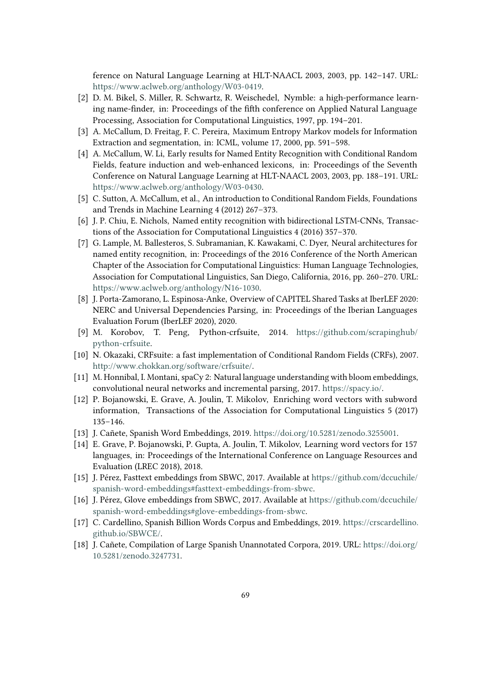ference on Natural Language Learning at HLT-NAACL 2003, 2003, pp. 142–147. URL: [https://www.aclweb.org/anthology/W03-0419.](https://www.aclweb.org/anthology/W03-0419)

- [2] D. M. Bikel, S. Miller, R. Schwartz, R. Weischedel, Nymble: a high-performance learning name-finder, in: Proceedings of the fifth conference on Applied Natural Language Processing, Association for Computational Linguistics, 1997, pp. 194–201.
- [3] A. McCallum, D. Freitag, F. C. Pereira, Maximum Entropy Markov models for Information Extraction and segmentation, in: ICML, volume 17, 2000, pp. 591–598.
- [4] A. McCallum, W. Li, Early results for Named Entity Recognition with Conditional Random Fields, feature induction and web-enhanced lexicons, in: Proceedings of the Seventh Conference on Natural Language Learning at HLT-NAACL 2003, 2003, pp. 188–191. URL: [https://www.aclweb.org/anthology/W03-0430.](https://www.aclweb.org/anthology/W03-0430)
- [5] C. Sutton, A. McCallum, et al., An introduction to Conditional Random Fields, Foundations and Trends in Machine Learning 4 (2012) 267–373.
- [6] J. P. Chiu, E. Nichols, Named entity recognition with bidirectional LSTM-CNNs, Transactions of the Association for Computational Linguistics 4 (2016) 357–370.
- <span id="page-5-10"></span>[7] G. Lample, M. Ballesteros, S. Subramanian, K. Kawakami, C. Dyer, Neural architectures for named entity recognition, in: Proceedings of the 2016 Conference of the North American Chapter of the Association for Computational Linguistics: Human Language Technologies, Association for Computational Linguistics, San Diego, California, 2016, pp. 260–270. URL: [https://www.aclweb.org/anthology/N16-1030.](https://www.aclweb.org/anthology/N16-1030)
- [8] J. Porta-Zamorano, L. Espinosa-Anke, Overview of CAPITEL Shared Tasks at IberLEF 2020: NERC and Universal Dependencies Parsing, in: Proceedings of the Iberian Languages Evaluation Forum (IberLEF 2020), 2020.
- <span id="page-5-0"></span>[9] M. Korobov, T. Peng, Python-crfsuite, 2014. [https://github.com/scrapinghub/](https://github.com/scrapinghub/python-crfsuite) [python-crfsuite.](https://github.com/scrapinghub/python-crfsuite)
- <span id="page-5-1"></span>[10] N. Okazaki, CRFsuite: a fast implementation of Conditional Random Fields (CRFs), 2007. [http://www.chokkan.org/software/crfsuite/.](http://www.chokkan.org/software/crfsuite/)
- <span id="page-5-2"></span>[11] M. Honnibal, I. Montani, spaCy 2: Natural language understanding with bloom embeddings, convolutional neural networks and incremental parsing, 2017. [https://spacy.io/.](https://spacy.io/)
- <span id="page-5-3"></span>[12] P. Bojanowski, E. Grave, A. Joulin, T. Mikolov, Enriching word vectors with subword information, Transactions of the Association for Computational Linguistics 5 (2017) 135–146.
- <span id="page-5-4"></span>[13] J. Cañete, Spanish Word Embeddings, 2019. [https://doi.org/10.5281/zenodo.3255001.](https://doi.org/10.5281/zenodo.3255001)
- <span id="page-5-5"></span>[14] E. Grave, P. Bojanowski, P. Gupta, A. Joulin, T. Mikolov, Learning word vectors for 157 languages, in: Proceedings of the International Conference on Language Resources and Evaluation (LREC 2018), 2018.
- <span id="page-5-6"></span>[15] J. Pérez, Fasttext embeddings from SBWC, 2017. Available at [https://github.com/dccuchile/](https://github.com/dccuchile/spanish-word-embeddings#fasttext-embeddings-from-sbwc) [spanish-word-embeddings#fasttext-embeddings-from-sbwc.](https://github.com/dccuchile/spanish-word-embeddings#fasttext-embeddings-from-sbwc)
- <span id="page-5-7"></span>[16] J. Pérez, Glove embeddings from SBWC, 2017. Available at [https://github.com/dccuchile/](https://github.com/dccuchile/spanish-word-embeddings#glove-embeddings-from-sbwc) [spanish-word-embeddings#glove-embeddings-from-sbwc.](https://github.com/dccuchile/spanish-word-embeddings#glove-embeddings-from-sbwc)
- <span id="page-5-8"></span>[17] C. Cardellino, Spanish Billion Words Corpus and Embeddings, 2019. [https://crscardellino.](https://crscardellino.github.io/SBWCE/) [github.io/SBWCE/.](https://crscardellino.github.io/SBWCE/)
- <span id="page-5-9"></span>[18] J. Cañete, Compilation of Large Spanish Unannotated Corpora, 2019. URL: [https://doi.org/](https://doi.org/10.5281/zenodo.3247731) [10.5281/zenodo.3247731.](https://doi.org/10.5281/zenodo.3247731)